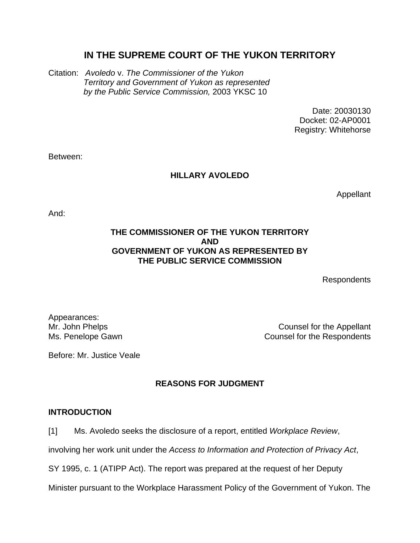# **IN THE SUPREME COURT OF THE YUKON TERRITORY**

Citation: *Avoledo* v. *The Commissioner of the Yukon Territory and Government of Yukon as represented by the Public Service Commission,* 2003 YKSC 10

> Date: 20030130 Docket: 02-AP0001 Registry: Whitehorse

Between:

# **HILLARY AVOLEDO**

Appellant

And:

# **THE COMMISSIONER OF THE YUKON TERRITORY AND GOVERNMENT OF YUKON AS REPRESENTED BY THE PUBLIC SERVICE COMMISSION**

Respondents

Appearances:

Mr. John Phelps **Counsel for the Appellant** Ms. Penelope Gawn **Counsel for the Respondents** 

Before: Mr. Justice Veale

# **REASONS FOR JUDGMENT**

## **INTRODUCTION**

[1] Ms. Avoledo seeks the disclosure of a report, entitled *Workplace Review*,

involving her work unit under the *Access to Information and Protection of Privacy Act*,

SY 1995, c. 1 (ATIPP Act). The report was prepared at the request of her Deputy

Minister pursuant to the Workplace Harassment Policy of the Government of Yukon. The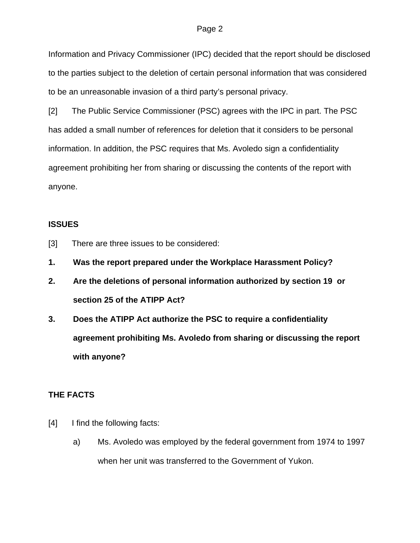#### Page 2

Information and Privacy Commissioner (IPC) decided that the report should be disclosed to the parties subject to the deletion of certain personal information that was considered to be an unreasonable invasion of a third party's personal privacy.

[2] The Public Service Commissioner (PSC) agrees with the IPC in part. The PSC has added a small number of references for deletion that it considers to be personal information. In addition, the PSC requires that Ms. Avoledo sign a confidentiality agreement prohibiting her from sharing or discussing the contents of the report with anyone.

### **ISSUES**

- [3] There are three issues to be considered:
- **1. Was the report prepared under the Workplace Harassment Policy?**
- **2. Are the deletions of personal information authorized by section 19 or section 25 of the ATIPP Act?**
- **3. Does the ATIPP Act authorize the PSC to require a confidentiality agreement prohibiting Ms. Avoledo from sharing or discussing the report with anyone?**

## **THE FACTS**

- [4] I find the following facts:
	- a) Ms. Avoledo was employed by the federal government from 1974 to 1997 when her unit was transferred to the Government of Yukon.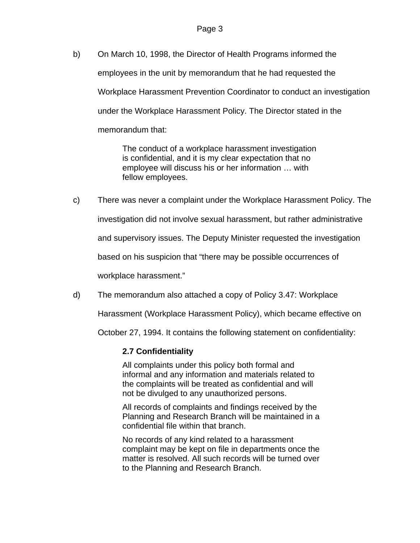b) On March 10, 1998, the Director of Health Programs informed the employees in the unit by memorandum that he had requested the Workplace Harassment Prevention Coordinator to conduct an investigation under the Workplace Harassment Policy. The Director stated in the memorandum that:

> The conduct of a workplace harassment investigation is confidential, and it is my clear expectation that no employee will discuss his or her information … with fellow employees.

- c) There was never a complaint under the Workplace Harassment Policy. The investigation did not involve sexual harassment, but rather administrative and supervisory issues. The Deputy Minister requested the investigation based on his suspicion that "there may be possible occurrences of workplace harassment."
- d) The memorandum also attached a copy of Policy 3.47: Workplace

Harassment (Workplace Harassment Policy), which became effective on

October 27, 1994. It contains the following statement on confidentiality:

## **2.7 Confidentiality**

All complaints under this policy both formal and informal and any information and materials related to the complaints will be treated as confidential and will not be divulged to any unauthorized persons.

All records of complaints and findings received by the Planning and Research Branch will be maintained in a confidential file within that branch.

No records of any kind related to a harassment complaint may be kept on file in departments once the matter is resolved. All such records will be turned over to the Planning and Research Branch.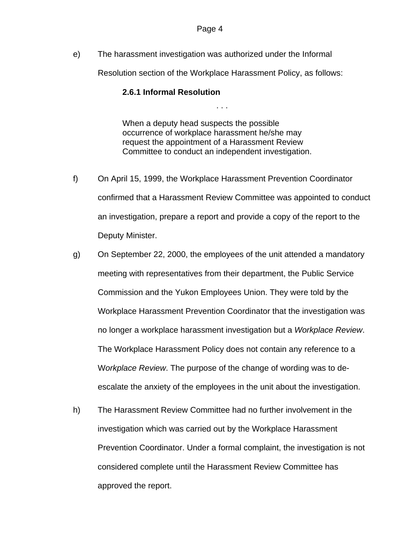e) The harassment investigation was authorized under the Informal

Resolution section of the Workplace Harassment Policy, as follows:

. . .

## **2.6.1 Informal Resolution**

When a deputy head suspects the possible occurrence of workplace harassment he/she may request the appointment of a Harassment Review Committee to conduct an independent investigation.

- f) On April 15, 1999, the Workplace Harassment Prevention Coordinator confirmed that a Harassment Review Committee was appointed to conduct an investigation, prepare a report and provide a copy of the report to the Deputy Minister.
- g) On September 22, 2000, the employees of the unit attended a mandatory meeting with representatives from their department, the Public Service Commission and the Yukon Employees Union. They were told by the Workplace Harassment Prevention Coordinator that the investigation was no longer a workplace harassment investigation but a *Workplace Review*. The Workplace Harassment Policy does not contain any reference to a W*orkplace Review*. The purpose of the change of wording was to deescalate the anxiety of the employees in the unit about the investigation.
- h) The Harassment Review Committee had no further involvement in the investigation which was carried out by the Workplace Harassment Prevention Coordinator. Under a formal complaint, the investigation is not considered complete until the Harassment Review Committee has approved the report.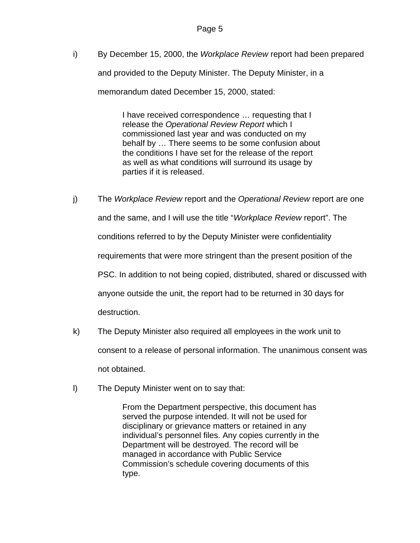i) By December 15, 2000, the *Workplace Review* report had been prepared and provided to the Deputy Minister. The Deputy Minister, in a memorandum dated December 15, 2000, stated:

> I have received correspondence … requesting that I release the *Operational Review Report* which I commissioned last year and was conducted on my behalf by … There seems to be some confusion about the conditions I have set for the release of the report as well as what conditions will surround its usage by parties if it is released.

- j) The *Workplace Review* report and the *Operational Review* report are one and the same, and I will use the title "*Workplace Review* report". The conditions referred to by the Deputy Minister were confidentiality requirements that were more stringent than the present position of the PSC. In addition to not being copied, distributed, shared or discussed with anyone outside the unit, the report had to be returned in 30 days for destruction.
- k) The Deputy Minister also required all employees in the work unit to consent to a release of personal information. The unanimous consent was not obtained.
- l) The Deputy Minister went on to say that:

From the Department perspective, this document has served the purpose intended. It will not be used for disciplinary or grievance matters or retained in any individual's personnel files. Any copies currently in the Department will be destroyed. The record will be managed in accordance with Public Service Commission's schedule covering documents of this type.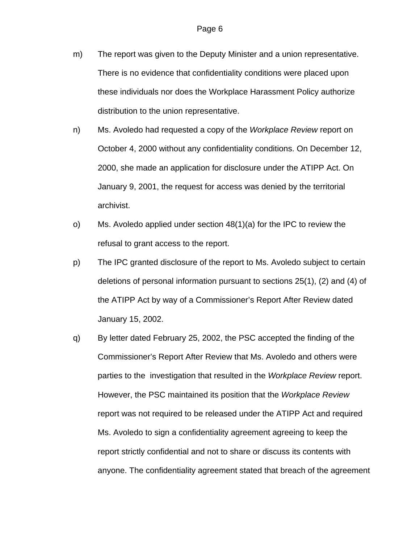- m) The report was given to the Deputy Minister and a union representative. There is no evidence that confidentiality conditions were placed upon these individuals nor does the Workplace Harassment Policy authorize distribution to the union representative.
- n) Ms. Avoledo had requested a copy of the *Workplace Review* report on October 4, 2000 without any confidentiality conditions. On December 12, 2000, she made an application for disclosure under the ATIPP Act. On January 9, 2001, the request for access was denied by the territorial archivist.
- o) Ms. Avoledo applied under section 48(1)(a) for the IPC to review the refusal to grant access to the report.
- p) The IPC granted disclosure of the report to Ms. Avoledo subject to certain deletions of personal information pursuant to sections 25(1), (2) and (4) of the ATIPP Act by way of a Commissioner's Report After Review dated January 15, 2002.
- q) By letter dated February 25, 2002, the PSC accepted the finding of the Commissioner's Report After Review that Ms. Avoledo and others were parties to the investigation that resulted in the *Workplace Review* report. However, the PSC maintained its position that the *Workplace Review* report was not required to be released under the ATIPP Act and required Ms. Avoledo to sign a confidentiality agreement agreeing to keep the report strictly confidential and not to share or discuss its contents with anyone. The confidentiality agreement stated that breach of the agreement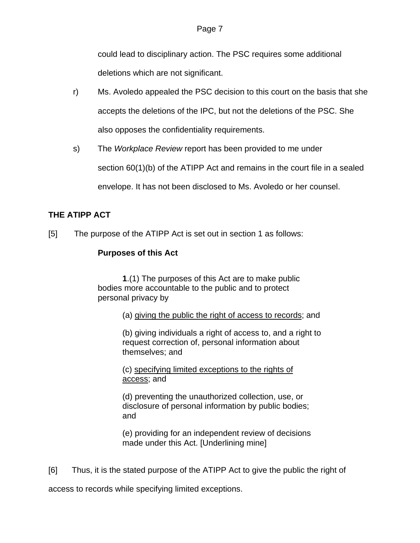could lead to disciplinary action. The PSC requires some additional deletions which are not significant.

- r) Ms. Avoledo appealed the PSC decision to this court on the basis that she accepts the deletions of the IPC, but not the deletions of the PSC. She also opposes the confidentiality requirements.
- s) The *Workplace Review* report has been provided to me under section 60(1)(b) of the ATIPP Act and remains in the court file in a sealed envelope. It has not been disclosed to Ms. Avoledo or her counsel.

# **THE ATIPP ACT**

[5] The purpose of the ATIPP Act is set out in section 1 as follows:

# **Purposes of this Act**

 **1**.(1) The purposes of this Act are to make public bodies more accountable to the public and to protect personal privacy by

(a) giving the public the right of access to records; and

(b) giving individuals a right of access to, and a right to request correction of, personal information about themselves; and

(c) specifying limited exceptions to the rights of access; and

(d) preventing the unauthorized collection, use, or disclosure of personal information by public bodies; and

(e) providing for an independent review of decisions made under this Act. [Underlining mine]

[6] Thus, it is the stated purpose of the ATIPP Act to give the public the right of

access to records while specifying limited exceptions.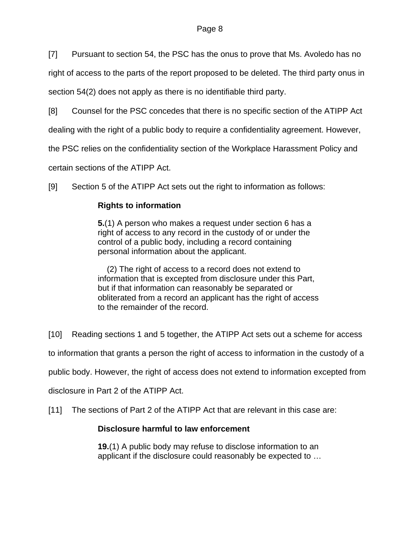[7] Pursuant to section 54, the PSC has the onus to prove that Ms. Avoledo has no

right of access to the parts of the report proposed to be deleted. The third party onus in section 54(2) does not apply as there is no identifiable third party.

[8] Counsel for the PSC concedes that there is no specific section of the ATIPP Act

dealing with the right of a public body to require a confidentiality agreement. However,

the PSC relies on the confidentiality section of the Workplace Harassment Policy and

certain sections of the ATIPP Act.

[9] Section 5 of the ATIPP Act sets out the right to information as follows:

# **Rights to information**

**5.**(1) A person who makes a request under section 6 has a right of access to any record in the custody of or under the control of a public body, including a record containing personal information about the applicant.

(2) The right of access to a record does not extend to information that is excepted from disclosure under this Part, but if that information can reasonably be separated or obliterated from a record an applicant has the right of access to the remainder of the record.

[10] Reading sections 1 and 5 together, the ATIPP Act sets out a scheme for access

to information that grants a person the right of access to information in the custody of a

public body. However, the right of access does not extend to information excepted from

disclosure in Part 2 of the ATIPP Act.

[11] The sections of Part 2 of the ATIPP Act that are relevant in this case are:

# **Disclosure harmful to law enforcement**

**19.**(1) A public body may refuse to disclose information to an applicant if the disclosure could reasonably be expected to …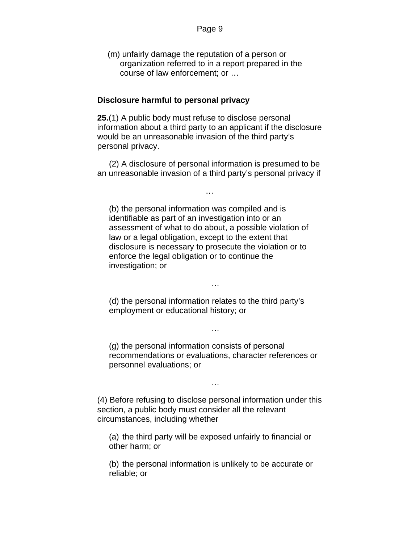(m) unfairly damage the reputation of a person or organization referred to in a report prepared in the course of law enforcement; or …

#### **Disclosure harmful to personal privacy**

**25.**(1) A public body must refuse to disclose personal information about a third party to an applicant if the disclosure would be an unreasonable invasion of the third party's personal privacy.

 (2) A disclosure of personal information is presumed to be an unreasonable invasion of a third party's personal privacy if

…

(b) the personal information was compiled and is identifiable as part of an investigation into or an assessment of what to do about, a possible violation of law or a legal obligation, except to the extent that disclosure is necessary to prosecute the violation or to enforce the legal obligation or to continue the investigation; or

(d) the personal information relates to the third party's employment or educational history; or

…

(g) the personal information consists of personal recommendations or evaluations, character references or personnel evaluations; or

…

…

(4) Before refusing to disclose personal information under this section, a public body must consider all the relevant circumstances, including whether

(a) the third party will be exposed unfairly to financial or other harm; or

(b) the personal information is unlikely to be accurate or reliable; or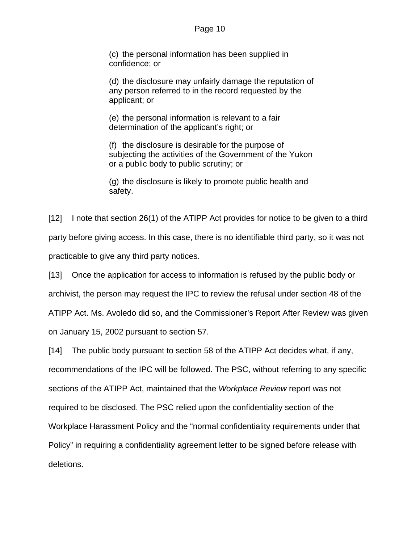#### Page 10

(c) the personal information has been supplied in confidence; or

(d) the disclosure may unfairly damage the reputation of any person referred to in the record requested by the applicant; or

(e) the personal information is relevant to a fair determination of the applicant's right; or

(f) the disclosure is desirable for the purpose of subjecting the activities of the Government of the Yukon or a public body to public scrutiny; or

(g) the disclosure is likely to promote public health and safety.

[12] I note that section 26(1) of the ATIPP Act provides for notice to be given to a third party before giving access. In this case, there is no identifiable third party, so it was not practicable to give any third party notices.

[13] Once the application for access to information is refused by the public body or archivist, the person may request the IPC to review the refusal under section 48 of the ATIPP Act. Ms. Avoledo did so, and the Commissioner's Report After Review was given on January 15, 2002 pursuant to section 57.

[14] The public body pursuant to section 58 of the ATIPP Act decides what, if any, recommendations of the IPC will be followed. The PSC, without referring to any specific sections of the ATIPP Act, maintained that the *Workplace Review* report was not required to be disclosed. The PSC relied upon the confidentiality section of the Workplace Harassment Policy and the "normal confidentiality requirements under that Policy" in requiring a confidentiality agreement letter to be signed before release with deletions.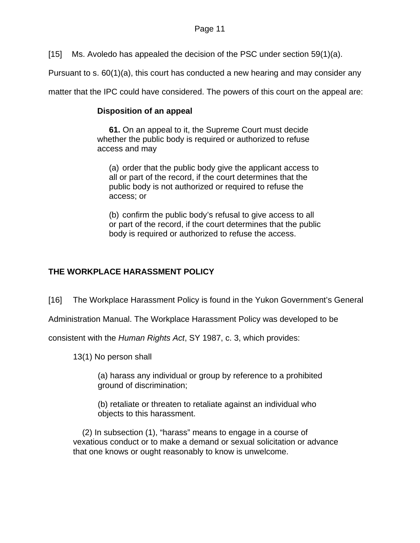[15] Ms. Avoledo has appealed the decision of the PSC under section 59(1)(a).

Pursuant to s. 60(1)(a), this court has conducted a new hearing and may consider any

matter that the IPC could have considered. The powers of this court on the appeal are:

# **Disposition of an appeal**

**61.** On an appeal to it, the Supreme Court must decide whether the public body is required or authorized to refuse access and may

(a) order that the public body give the applicant access to all or part of the record, if the court determines that the public body is not authorized or required to refuse the access; or

(b) confirm the public body's refusal to give access to all or part of the record, if the court determines that the public body is required or authorized to refuse the access.

# **THE WORKPLACE HARASSMENT POLICY**

[16] The Workplace Harassment Policy is found in the Yukon Government's General

Administration Manual. The Workplace Harassment Policy was developed to be

consistent with the *Human Rights Act*, SY 1987, c. 3, which provides:

13(1) No person shall

 (a) harass any individual or group by reference to a prohibited ground of discrimination;

(b) retaliate or threaten to retaliate against an individual who objects to this harassment.

 (2) In subsection (1), "harass" means to engage in a course of vexatious conduct or to make a demand or sexual solicitation or advance that one knows or ought reasonably to know is unwelcome.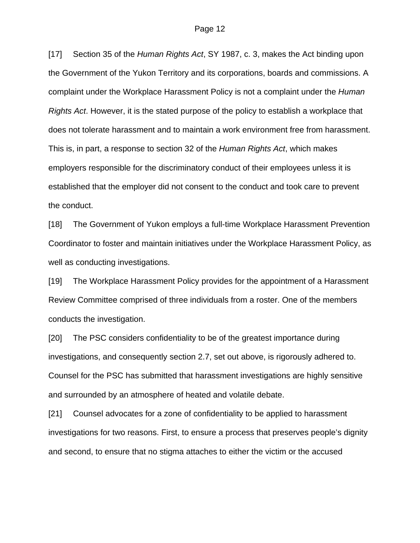[17] Section 35 of the *Human Rights Act*, SY 1987, c. 3, makes the Act binding upon the Government of the Yukon Territory and its corporations, boards and commissions. A complaint under the Workplace Harassment Policy is not a complaint under the *Human Rights Act*. However, it is the stated purpose of the policy to establish a workplace that does not tolerate harassment and to maintain a work environment free from harassment. This is, in part, a response to section 32 of the *Human Rights Act*, which makes employers responsible for the discriminatory conduct of their employees unless it is established that the employer did not consent to the conduct and took care to prevent the conduct.

[18] The Government of Yukon employs a full-time Workplace Harassment Prevention Coordinator to foster and maintain initiatives under the Workplace Harassment Policy, as well as conducting investigations.

[19] The Workplace Harassment Policy provides for the appointment of a Harassment Review Committee comprised of three individuals from a roster. One of the members conducts the investigation.

[20] The PSC considers confidentiality to be of the greatest importance during investigations, and consequently section 2.7, set out above, is rigorously adhered to. Counsel for the PSC has submitted that harassment investigations are highly sensitive and surrounded by an atmosphere of heated and volatile debate.

[21] Counsel advocates for a zone of confidentiality to be applied to harassment investigations for two reasons. First, to ensure a process that preserves people's dignity and second, to ensure that no stigma attaches to either the victim or the accused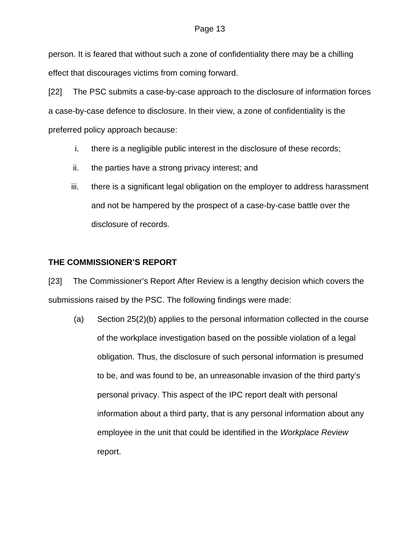person. It is feared that without such a zone of confidentiality there may be a chilling effect that discourages victims from coming forward.

[22] The PSC submits a case-by-case approach to the disclosure of information forces a case-by-case defence to disclosure. In their view, a zone of confidentiality is the preferred policy approach because:

- i. there is a negligible public interest in the disclosure of these records;
- ii. the parties have a strong privacy interest; and
- iii. there is a significant legal obligation on the employer to address harassment and not be hampered by the prospect of a case-by-case battle over the disclosure of records.

# **THE COMMISSIONER'S REPORT**

[23] The Commissioner's Report After Review is a lengthy decision which covers the submissions raised by the PSC. The following findings were made:

(a) Section 25(2)(b) applies to the personal information collected in the course of the workplace investigation based on the possible violation of a legal obligation. Thus, the disclosure of such personal information is presumed to be, and was found to be, an unreasonable invasion of the third party's personal privacy. This aspect of the IPC report dealt with personal information about a third party, that is any personal information about any employee in the unit that could be identified in the *Workplace Review*  report.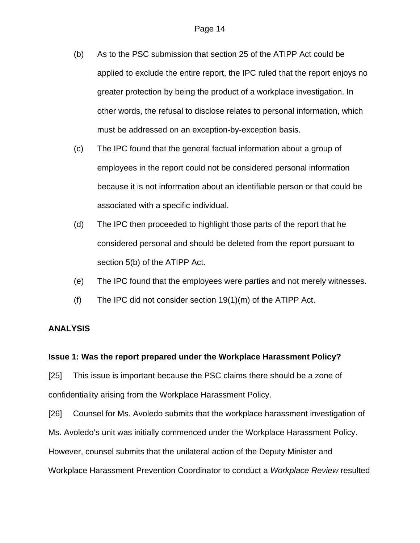- (b) As to the PSC submission that section 25 of the ATIPP Act could be applied to exclude the entire report, the IPC ruled that the report enjoys no greater protection by being the product of a workplace investigation. In other words, the refusal to disclose relates to personal information, which must be addressed on an exception-by-exception basis.
- (c) The IPC found that the general factual information about a group of employees in the report could not be considered personal information because it is not information about an identifiable person or that could be associated with a specific individual.
- (d) The IPC then proceeded to highlight those parts of the report that he considered personal and should be deleted from the report pursuant to section 5(b) of the ATIPP Act.
- (e) The IPC found that the employees were parties and not merely witnesses.
- (f) The IPC did not consider section 19(1)(m) of the ATIPP Act.

#### **ANALYSIS**

#### **Issue 1: Was the report prepared under the Workplace Harassment Policy?**

[25] This issue is important because the PSC claims there should be a zone of confidentiality arising from the Workplace Harassment Policy.

[26] Counsel for Ms. Avoledo submits that the workplace harassment investigation of Ms. Avoledo's unit was initially commenced under the Workplace Harassment Policy. However, counsel submits that the unilateral action of the Deputy Minister and Workplace Harassment Prevention Coordinator to conduct a *Workplace Review* resulted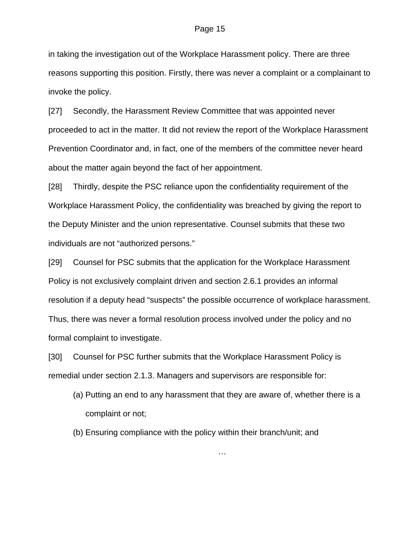in taking the investigation out of the Workplace Harassment policy. There are three reasons supporting this position. Firstly, there was never a complaint or a complainant to invoke the policy.

[27] Secondly, the Harassment Review Committee that was appointed never proceeded to act in the matter. It did not review the report of the Workplace Harassment Prevention Coordinator and, in fact, one of the members of the committee never heard about the matter again beyond the fact of her appointment.

[28] Thirdly, despite the PSC reliance upon the confidentiality requirement of the Workplace Harassment Policy, the confidentiality was breached by giving the report to the Deputy Minister and the union representative. Counsel submits that these two individuals are not "authorized persons."

[29] Counsel for PSC submits that the application for the Workplace Harassment Policy is not exclusively complaint driven and section 2.6.1 provides an informal resolution if a deputy head "suspects" the possible occurrence of workplace harassment. Thus, there was never a formal resolution process involved under the policy and no formal complaint to investigate.

[30] Counsel for PSC further submits that the Workplace Harassment Policy is remedial under section 2.1.3. Managers and supervisors are responsible for:

(a) Putting an end to any harassment that they are aware of, whether there is a complaint or not;

…

(b) Ensuring compliance with the policy within their branch/unit; and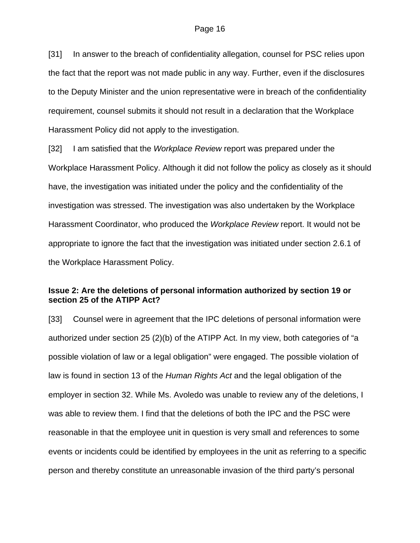[31] In answer to the breach of confidentiality allegation, counsel for PSC relies upon the fact that the report was not made public in any way. Further, even if the disclosures to the Deputy Minister and the union representative were in breach of the confidentiality requirement, counsel submits it should not result in a declaration that the Workplace Harassment Policy did not apply to the investigation.

[32] I am satisfied that the *Workplace Review* report was prepared under the Workplace Harassment Policy. Although it did not follow the policy as closely as it should have, the investigation was initiated under the policy and the confidentiality of the investigation was stressed. The investigation was also undertaken by the Workplace Harassment Coordinator, who produced the *Workplace Review* report. It would not be appropriate to ignore the fact that the investigation was initiated under section 2.6.1 of the Workplace Harassment Policy.

## **Issue 2: Are the deletions of personal information authorized by section 19 or section 25 of the ATIPP Act?**

[33] Counsel were in agreement that the IPC deletions of personal information were authorized under section 25 (2)(b) of the ATIPP Act. In my view, both categories of "a possible violation of law or a legal obligation" were engaged. The possible violation of law is found in section 13 of the *Human Rights Act* and the legal obligation of the employer in section 32. While Ms. Avoledo was unable to review any of the deletions, I was able to review them. I find that the deletions of both the IPC and the PSC were reasonable in that the employee unit in question is very small and references to some events or incidents could be identified by employees in the unit as referring to a specific person and thereby constitute an unreasonable invasion of the third party's personal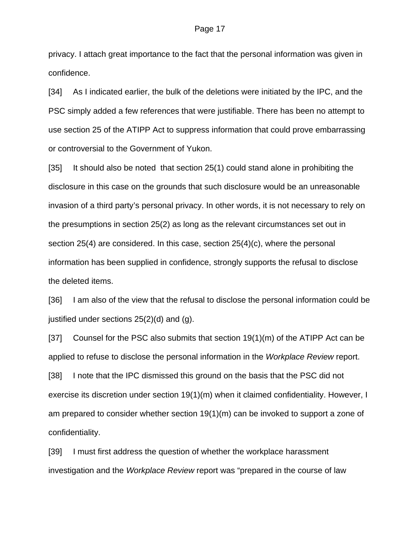privacy. I attach great importance to the fact that the personal information was given in confidence.

[34] As I indicated earlier, the bulk of the deletions were initiated by the IPC, and the PSC simply added a few references that were justifiable. There has been no attempt to use section 25 of the ATIPP Act to suppress information that could prove embarrassing or controversial to the Government of Yukon.

[35] It should also be noted that section 25(1) could stand alone in prohibiting the disclosure in this case on the grounds that such disclosure would be an unreasonable invasion of a third party's personal privacy. In other words, it is not necessary to rely on the presumptions in section 25(2) as long as the relevant circumstances set out in section 25(4) are considered. In this case, section 25(4)(c), where the personal information has been supplied in confidence, strongly supports the refusal to disclose the deleted items.

[36] I am also of the view that the refusal to disclose the personal information could be justified under sections 25(2)(d) and (g).

[37] Counsel for the PSC also submits that section  $19(1)(m)$  of the ATIPP Act can be applied to refuse to disclose the personal information in the *Workplace Review* report. [38] I note that the IPC dismissed this ground on the basis that the PSC did not exercise its discretion under section 19(1)(m) when it claimed confidentiality. However, I am prepared to consider whether section 19(1)(m) can be invoked to support a zone of confidentiality.

[39] I must first address the question of whether the workplace harassment investigation and the *Workplace Review* report was "prepared in the course of law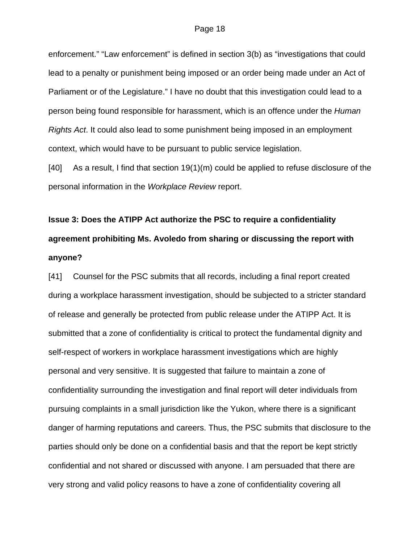enforcement." "Law enforcement" is defined in section 3(b) as "investigations that could lead to a penalty or punishment being imposed or an order being made under an Act of Parliament or of the Legislature." I have no doubt that this investigation could lead to a person being found responsible for harassment, which is an offence under the *Human Rights Act*. It could also lead to some punishment being imposed in an employment context, which would have to be pursuant to public service legislation.

[40] As a result, I find that section 19(1)(m) could be applied to refuse disclosure of the personal information in the *Workplace Review* report.

# **Issue 3: Does the ATIPP Act authorize the PSC to require a confidentiality agreement prohibiting Ms. Avoledo from sharing or discussing the report with anyone?**

[41] Counsel for the PSC submits that all records, including a final report created during a workplace harassment investigation, should be subjected to a stricter standard of release and generally be protected from public release under the ATIPP Act. It is submitted that a zone of confidentiality is critical to protect the fundamental dignity and self-respect of workers in workplace harassment investigations which are highly personal and very sensitive. It is suggested that failure to maintain a zone of confidentiality surrounding the investigation and final report will deter individuals from pursuing complaints in a small jurisdiction like the Yukon, where there is a significant danger of harming reputations and careers. Thus, the PSC submits that disclosure to the parties should only be done on a confidential basis and that the report be kept strictly confidential and not shared or discussed with anyone. I am persuaded that there are very strong and valid policy reasons to have a zone of confidentiality covering all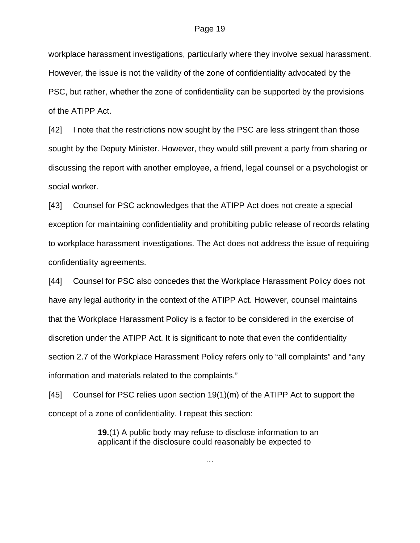workplace harassment investigations, particularly where they involve sexual harassment. However, the issue is not the validity of the zone of confidentiality advocated by the PSC, but rather, whether the zone of confidentiality can be supported by the provisions of the ATIPP Act.

[42] I note that the restrictions now sought by the PSC are less stringent than those sought by the Deputy Minister. However, they would still prevent a party from sharing or discussing the report with another employee, a friend, legal counsel or a psychologist or social worker.

[43] Counsel for PSC acknowledges that the ATIPP Act does not create a special exception for maintaining confidentiality and prohibiting public release of records relating to workplace harassment investigations. The Act does not address the issue of requiring confidentiality agreements.

[44] Counsel for PSC also concedes that the Workplace Harassment Policy does not have any legal authority in the context of the ATIPP Act. However, counsel maintains that the Workplace Harassment Policy is a factor to be considered in the exercise of discretion under the ATIPP Act. It is significant to note that even the confidentiality section 2.7 of the Workplace Harassment Policy refers only to "all complaints" and "any information and materials related to the complaints."

[45] Counsel for PSC relies upon section 19(1)(m) of the ATIPP Act to support the concept of a zone of confidentiality. I repeat this section:

> **19.**(1) A public body may refuse to disclose information to an applicant if the disclosure could reasonably be expected to

> > …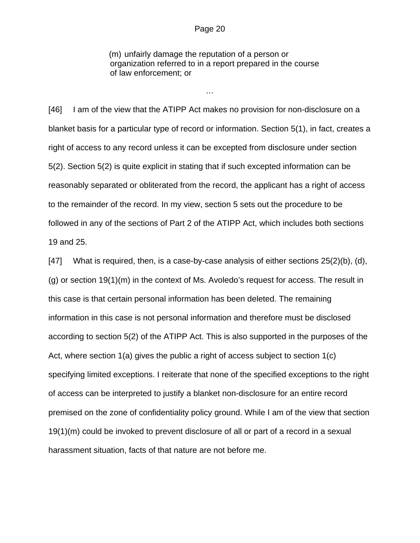#### Page 20

(m) unfairly damage the reputation of a person or organization referred to in a report prepared in the course of law enforcement; or

…

[46] I am of the view that the ATIPP Act makes no provision for non-disclosure on a blanket basis for a particular type of record or information. Section 5(1), in fact, creates a right of access to any record unless it can be excepted from disclosure under section 5(2). Section 5(2) is quite explicit in stating that if such excepted information can be reasonably separated or obliterated from the record, the applicant has a right of access to the remainder of the record. In my view, section 5 sets out the procedure to be followed in any of the sections of Part 2 of the ATIPP Act, which includes both sections 19 and 25.

 $[47]$  What is required, then, is a case-by-case analysis of either sections  $[25(2)(b), (d)]$ (g) or section 19(1)(m) in the context of Ms. Avoledo's request for access. The result in this case is that certain personal information has been deleted. The remaining information in this case is not personal information and therefore must be disclosed according to section 5(2) of the ATIPP Act. This is also supported in the purposes of the Act, where section 1(a) gives the public a right of access subject to section 1(c) specifying limited exceptions. I reiterate that none of the specified exceptions to the right of access can be interpreted to justify a blanket non-disclosure for an entire record premised on the zone of confidentiality policy ground. While I am of the view that section 19(1)(m) could be invoked to prevent disclosure of all or part of a record in a sexual harassment situation, facts of that nature are not before me.